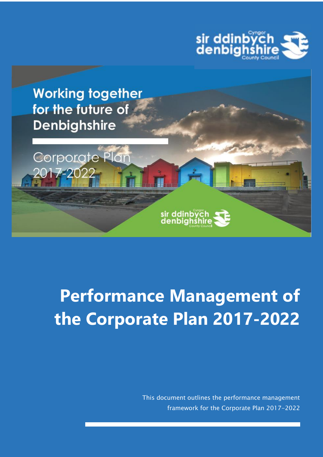



# **Performance Management of the Corporate Plan 2017-2022**

sir ddinbych<br>denbighshire

This document outlines the performance management framework for the Corporate Plan 2017-2022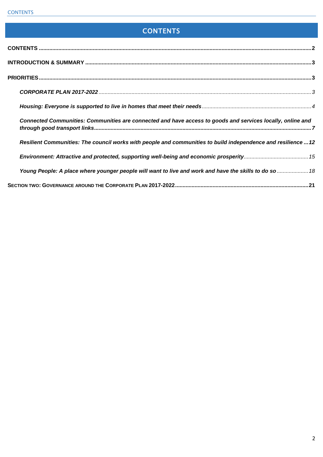# **CONTENTS**

<span id="page-1-0"></span>

| Connected Communities: Communities are connected and have access to goods and services locally, online and    |  |
|---------------------------------------------------------------------------------------------------------------|--|
| Resilient Communities: The council works with people and communities to build independence and resilience  12 |  |
|                                                                                                               |  |
| Young People: A place where younger people will want to live and work and have the skills to do so  18        |  |
|                                                                                                               |  |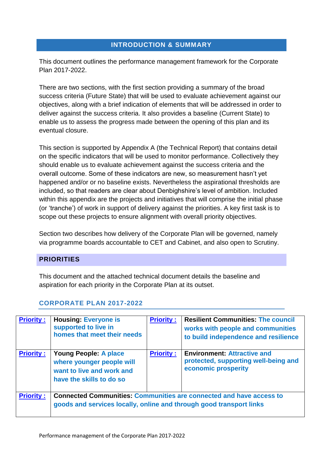## **INTRODUCTION & SUMMARY**

<span id="page-2-0"></span>This document outlines the performance management framework for the Corporate Plan 2017-2022.

There are two sections, with the first section providing a summary of the broad success criteria (Future State) that will be used to evaluate achievement against our objectives, along with a brief indication of elements that will be addressed in order to deliver against the success criteria. It also provides a baseline (Current State) to enable us to assess the progress made between the opening of this plan and its eventual closure.

This section is supported by Appendix A (the Technical Report) that contains detail on the specific indicators that will be used to monitor performance. Collectively they should enable us to evaluate achievement against the success criteria and the overall outcome. Some of these indicators are new, so measurement hasn't yet happened and/or or no baseline exists. Nevertheless the aspirational thresholds are included, so that readers are clear about Denbighshire's level of ambition. Included within this appendix are the projects and initiatives that will comprise the initial phase (or 'tranche') of work in support of delivery against the priorities. A key first task is to scope out these projects to ensure alignment with overall priority objectives.

Section two describes how delivery of the Corporate Plan will be governed, namely via programme boards accountable to CET and Cabinet, and also open to Scrutiny.

## <span id="page-2-1"></span>**PRIORITIES**

This document and the attached technical document details the baseline and aspiration for each priority in the Corporate Plan at its outset.

| <b>Priority:</b> | <b>Housing: Everyone is</b><br>supported to live in<br>homes that meet their needs                                 | <b>Priority:</b> | <b>Resilient Communities: The council</b><br>works with people and communities<br>to build independence and resilience |
|------------------|--------------------------------------------------------------------------------------------------------------------|------------------|------------------------------------------------------------------------------------------------------------------------|
| <b>Priority:</b> | <b>Young People: A place</b><br>where younger people will<br>want to live and work and<br>have the skills to do so | <b>Priority:</b> | <b>Environment: Attractive and</b><br>protected, supporting well-being and<br>economic prosperity                      |
| <b>Priority:</b> | goods and services locally, online and through good transport links                                                |                  | <b>Connected Communities: Communities are connected and have access to</b>                                             |

## <span id="page-2-2"></span>**CORPORATE PLAN 2017-2022**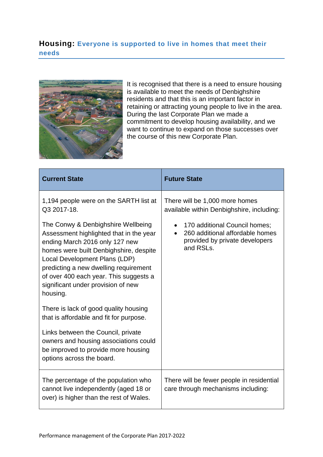## <span id="page-3-0"></span>**Housing: Everyone is supported to live in homes that meet their needs**



It is recognised that there is a need to ensure housing is available to meet the needs of Denbighshire residents and that this is an important factor in retaining or attracting young people to live in the area. During the last Corporate Plan we made a commitment to develop housing availability, and we want to continue to expand on those successes over the course of this new Corporate Plan.

| <b>Current State</b>                                                                                                                                                                                                                                                                                                            | <b>Future State</b>                                                                                                          |
|---------------------------------------------------------------------------------------------------------------------------------------------------------------------------------------------------------------------------------------------------------------------------------------------------------------------------------|------------------------------------------------------------------------------------------------------------------------------|
| 1,194 people were on the SARTH list at<br>Q3 2017-18.                                                                                                                                                                                                                                                                           | There will be 1,000 more homes<br>available within Denbighshire, including:                                                  |
| The Conwy & Denbighshire Wellbeing<br>Assessment highlighted that in the year<br>ending March 2016 only 127 new<br>homes were built Denbighshire, despite<br>Local Development Plans (LDP)<br>predicting a new dwelling requirement<br>of over 400 each year. This suggests a<br>significant under provision of new<br>housing. | 170 additional Council homes;<br>$\bullet$<br>260 additional affordable homes<br>provided by private developers<br>and RSLs. |
| There is lack of good quality housing<br>that is affordable and fit for purpose.                                                                                                                                                                                                                                                |                                                                                                                              |
| Links between the Council, private<br>owners and housing associations could<br>be improved to provide more housing<br>options across the board.                                                                                                                                                                                 |                                                                                                                              |
| The percentage of the population who<br>cannot live independently (aged 18 or<br>over) is higher than the rest of Wales.                                                                                                                                                                                                        | There will be fewer people in residential<br>care through mechanisms including:                                              |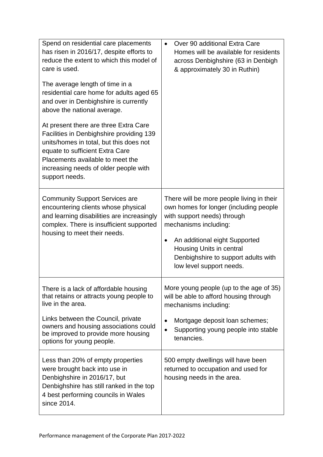| Spend on residential care placements<br>has risen in 2016/17, despite efforts to<br>reduce the extent to which this model of<br>care is used.<br>The average length of time in a<br>residential care home for adults aged 65<br>and over in Denbighshire is currently<br>above the national average.<br>At present there are three Extra Care<br>Facilities in Denbighshire providing 139<br>units/homes in total, but this does not<br>equate to sufficient Extra Care<br>Placements available to meet the<br>increasing needs of older people with<br>support needs. | Over 90 additional Extra Care<br>$\bullet$<br>Homes will be available for residents<br>across Denbighshire (63 in Denbigh<br>& approximately 30 in Ruthin)                                                                                                                  |
|------------------------------------------------------------------------------------------------------------------------------------------------------------------------------------------------------------------------------------------------------------------------------------------------------------------------------------------------------------------------------------------------------------------------------------------------------------------------------------------------------------------------------------------------------------------------|-----------------------------------------------------------------------------------------------------------------------------------------------------------------------------------------------------------------------------------------------------------------------------|
| <b>Community Support Services are</b><br>encountering clients whose physical<br>and learning disabilities are increasingly<br>complex. There is insufficient supported<br>housing to meet their needs.                                                                                                                                                                                                                                                                                                                                                                 | There will be more people living in their<br>own homes for longer (including people<br>with support needs) through<br>mechanisms including:<br>An additional eight Supported<br>Housing Units in central<br>Denbighshire to support adults with<br>low level support needs. |
| There is a lack of affordable housing<br>that retains or attracts young people to<br>live in the area.<br>Links between the Council, private<br>owners and housing associations could<br>be improved to provide more housing                                                                                                                                                                                                                                                                                                                                           | More young people (up to the age of 35)<br>will be able to afford housing through<br>mechanisms including:<br>Mortgage deposit loan schemes;<br>Supporting young people into stable<br>$\bullet$                                                                            |
| options for young people.                                                                                                                                                                                                                                                                                                                                                                                                                                                                                                                                              | tenancies.                                                                                                                                                                                                                                                                  |
| Less than 20% of empty properties<br>were brought back into use in<br>Denbighshire in 2016/17, but<br>Denbighshire has still ranked in the top<br>4 best performing councils in Wales<br>since 2014.                                                                                                                                                                                                                                                                                                                                                                   | 500 empty dwellings will have been<br>returned to occupation and used for<br>housing needs in the area.                                                                                                                                                                     |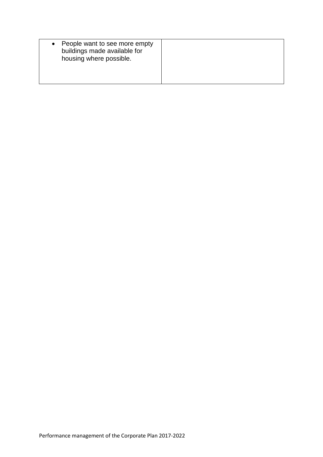| People want to see more empty<br>buildings made available for<br>housing where possible. |  |
|------------------------------------------------------------------------------------------|--|
|------------------------------------------------------------------------------------------|--|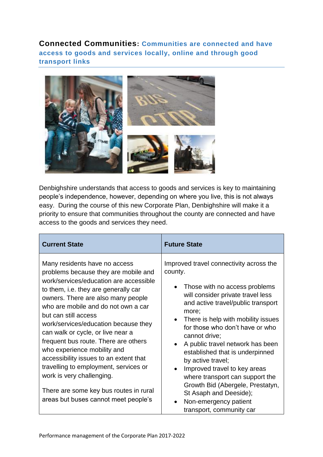<span id="page-6-0"></span>**Connected Communities: Communities are connected and have access to goods and services locally, online and through good transport links** 



Denbighshire understands that access to goods and services is key to maintaining people's independence, however, depending on where you live, this is not always easy. During the course of this new Corporate Plan, Denbighshire will make it a priority to ensure that communities throughout the county are connected and have access to the goods and services they need.

| <b>Current State</b>                                                                                                                                                                                                                                                                                                                                                                                                                                                                                                                                                                                               | <b>Future State</b>                                                                                                                                                                                                                                                                                                                                                                                                                                                                                                                                                                                                  |
|--------------------------------------------------------------------------------------------------------------------------------------------------------------------------------------------------------------------------------------------------------------------------------------------------------------------------------------------------------------------------------------------------------------------------------------------------------------------------------------------------------------------------------------------------------------------------------------------------------------------|----------------------------------------------------------------------------------------------------------------------------------------------------------------------------------------------------------------------------------------------------------------------------------------------------------------------------------------------------------------------------------------------------------------------------------------------------------------------------------------------------------------------------------------------------------------------------------------------------------------------|
| Many residents have no access<br>problems because they are mobile and<br>work/services/education are accessible<br>to them, i.e. they are generally car<br>owners. There are also many people<br>who are mobile and do not own a car<br>but can still access<br>work/services/education because they<br>can walk or cycle, or live near a<br>frequent bus route. There are others<br>who experience mobility and<br>accessibility issues to an extent that<br>travelling to employment, services or<br>work is very challenging.<br>There are some key bus routes in rural<br>areas but buses cannot meet people's | Improved travel connectivity across the<br>county.<br>Those with no access problems<br>$\bullet$<br>will consider private travel less<br>and active travel/public transport<br>more;<br>There is help with mobility issues<br>$\bullet$<br>for those who don't have or who<br>cannot drive;<br>A public travel network has been<br>$\bullet$<br>established that is underpinned<br>by active travel;<br>Improved travel to key areas<br>$\bullet$<br>where transport can support the<br>Growth Bid (Abergele, Prestatyn,<br>St Asaph and Deeside);<br>Non-emergency patient<br>$\bullet$<br>transport, community car |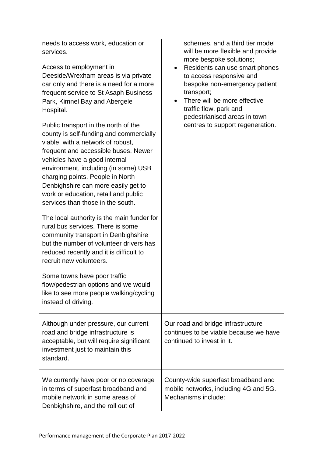| needs to access work, education or<br>services.<br>Access to employment in<br>Deeside/Wrexham areas is via private<br>car only and there is a need for a more<br>frequent service to St Asaph Business<br>Park, Kimnel Bay and Abergele<br>Hospital.<br>Public transport in the north of the<br>county is self-funding and commercially<br>viable, with a network of robust,<br>frequent and accessible buses. Newer<br>vehicles have a good internal<br>environment, including (in some) USB<br>charging points. People in North<br>Denbighshire can more easily get to<br>work or education, retail and public<br>services than those in the south.<br>The local authority is the main funder for<br>rural bus services. There is some<br>community transport in Denbighshire<br>but the number of volunteer drivers has<br>reduced recently and it is difficult to<br>recruit new volunteers.<br>Some towns have poor traffic<br>flow/pedestrian options and we would<br>like to see more people walking/cycling<br>instead of driving. | schemes, and a third tier model<br>will be more flexible and provide<br>more bespoke solutions;<br>Residents can use smart phones<br>$\bullet$<br>to access responsive and<br>bespoke non-emergency patient<br>transport;<br>There will be more effective<br>traffic flow, park and<br>pedestrianised areas in town<br>centres to support regeneration. |
|--------------------------------------------------------------------------------------------------------------------------------------------------------------------------------------------------------------------------------------------------------------------------------------------------------------------------------------------------------------------------------------------------------------------------------------------------------------------------------------------------------------------------------------------------------------------------------------------------------------------------------------------------------------------------------------------------------------------------------------------------------------------------------------------------------------------------------------------------------------------------------------------------------------------------------------------------------------------------------------------------------------------------------------------|---------------------------------------------------------------------------------------------------------------------------------------------------------------------------------------------------------------------------------------------------------------------------------------------------------------------------------------------------------|
| Although under pressure, our current<br>road and bridge infrastructure is<br>acceptable, but will require significant<br>investment just to maintain this<br>standard.                                                                                                                                                                                                                                                                                                                                                                                                                                                                                                                                                                                                                                                                                                                                                                                                                                                                     | Our road and bridge infrastructure<br>continues to be viable because we have<br>continued to invest in it.                                                                                                                                                                                                                                              |
| We currently have poor or no coverage<br>in terms of superfast broadband and<br>mobile network in some areas of<br>Denbighshire, and the roll out of                                                                                                                                                                                                                                                                                                                                                                                                                                                                                                                                                                                                                                                                                                                                                                                                                                                                                       | County-wide superfast broadband and<br>mobile networks, including 4G and 5G.<br>Mechanisms include:                                                                                                                                                                                                                                                     |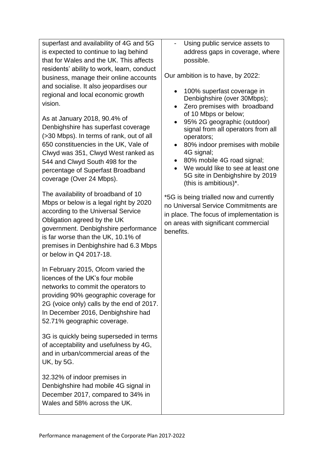superfast and availability of 4G and 5G is expected to continue to lag behind that for Wales and the UK. This affects residents' ability to work, learn, conduct business, manage their online accounts and socialise. It also jeopardises our regional and local economic growth vision.

As at January 2018, 90.4% of Denbighshire has superfast coverage (>30 Mbps). In terms of rank, out of all 650 constituencies in the UK, Vale of Clwyd was 351, Clwyd West ranked as 544 and Clwyd South 498 for the percentage of Superfast Broadband coverage (Over 24 Mbps).

The availability of broadband of 10 Mbps or below is a legal right by 2020 according to the Universal Service Obligation agreed by the UK government. Denbighshire performance is far worse than the UK, 10.1% of premises in Denbighshire had 6.3 Mbps or below in Q4 2017-18.

In February 2015, Ofcom varied the licences of the UK's four mobile networks to commit the operators to providing 90% geographic coverage for 2G (voice only) calls by the end of 2017. In December 2016, Denbighshire had 52.71% geographic coverage.

3G is quickly being superseded in terms of acceptability and usefulness by 4G, and in urban/commercial areas of the UK, by 5G.

32.32% of indoor premises in Denbighshire had mobile 4G signal in December 2017, compared to 34% in Wales and 58% across the UK.

Using public service assets to address gaps in coverage, where possible.

Our ambition is to have, by 2022:

- 100% superfast coverage in Denbighshire (over 30Mbps);
- Zero premises with broadband of 10 Mbps or below;
- 95% 2G geographic (outdoor) signal from all operators from all operators;
- 80% indoor premises with mobile 4G signal;
- 80% mobile 4G road signal:
- We would like to see at least one 5G site in Denbighshire by 2019 (this is ambitious)\*.

\*5G is being trialled now and currently no Universal Service Commitments are in place. The focus of implementation is on areas with significant commercial benefits.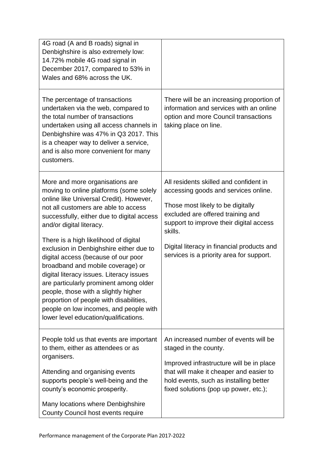| 4G road (A and B roads) signal in<br>Denbighshire is also extremely low:<br>14.72% mobile 4G road signal in<br>December 2017, compared to 53% in<br>Wales and 68% across the UK.                                                                                                                                                                                                                                                                                                                                                                                                                                                                                    |                                                                                                                                                                                                                                                                                                          |
|---------------------------------------------------------------------------------------------------------------------------------------------------------------------------------------------------------------------------------------------------------------------------------------------------------------------------------------------------------------------------------------------------------------------------------------------------------------------------------------------------------------------------------------------------------------------------------------------------------------------------------------------------------------------|----------------------------------------------------------------------------------------------------------------------------------------------------------------------------------------------------------------------------------------------------------------------------------------------------------|
| The percentage of transactions<br>undertaken via the web, compared to<br>the total number of transactions<br>undertaken using all access channels in<br>Denbighshire was 47% in Q3 2017. This<br>is a cheaper way to deliver a service,<br>and is also more convenient for many<br>customers.                                                                                                                                                                                                                                                                                                                                                                       | There will be an increasing proportion of<br>information and services with an online<br>option and more Council transactions<br>taking place on line.                                                                                                                                                    |
| More and more organisations are<br>moving to online platforms (some solely<br>online like Universal Credit). However,<br>not all customers are able to access<br>successfully, either due to digital access<br>and/or digital literacy.<br>There is a high likelihood of digital<br>exclusion in Denbighshire either due to<br>digital access (because of our poor<br>broadband and mobile coverage) or<br>digital literacy issues. Literacy issues<br>are particularly prominent among older<br>people, those with a slightly higher<br>proportion of people with disabilities,<br>people on low incomes, and people with<br>lower level education/qualifications. | All residents skilled and confident in<br>accessing goods and services online.<br>Those most likely to be digitally<br>excluded are offered training and<br>support to improve their digital access<br>skills.<br>Digital literacy in financial products and<br>services is a priority area for support. |
| People told us that events are important<br>to them, either as attendees or as<br>organisers.<br>Attending and organising events<br>supports people's well-being and the<br>county's economic prosperity.<br>Many locations where Denbighshire<br>County Council host events require                                                                                                                                                                                                                                                                                                                                                                                | An increased number of events will be<br>staged in the county.<br>Improved infrastructure will be in place<br>that will make it cheaper and easier to<br>hold events, such as installing better<br>fixed solutions (pop up power, etc.);                                                                 |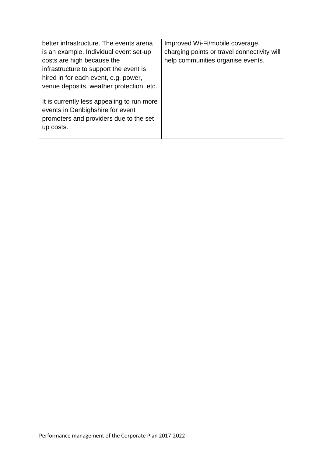| better infrastructure. The events arena                                                                                               | Improved Wi-Fi/mobile coverage,             |
|---------------------------------------------------------------------------------------------------------------------------------------|---------------------------------------------|
| is an example. Individual event set-up                                                                                                | charging points or travel connectivity will |
| costs are high because the                                                                                                            | help communities organise events.           |
| infrastructure to support the event is                                                                                                |                                             |
| hired in for each event, e.g. power,                                                                                                  |                                             |
| venue deposits, weather protection, etc.                                                                                              |                                             |
| It is currently less appealing to run more<br>events in Denbighshire for event<br>promoters and providers due to the set<br>up costs. |                                             |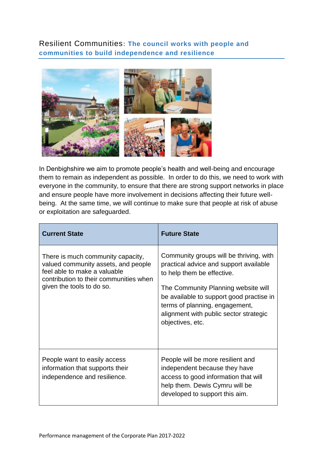<span id="page-11-0"></span>Resilient Communities**: The council works with people and communities to build independence and resilience**



In Denbighshire we aim to promote people's health and well-being and encourage them to remain as independent as possible. In order to do this, we need to work with everyone in the community, to ensure that there are strong support networks in place and ensure people have more involvement in decisions affecting their future wellbeing. At the same time, we will continue to make sure that people at risk of abuse or exploitation are safeguarded.

| <b>Current State</b>                                                                                                                                                            | <b>Future State</b>                                                                                                                                                                                                                                                                                |
|---------------------------------------------------------------------------------------------------------------------------------------------------------------------------------|----------------------------------------------------------------------------------------------------------------------------------------------------------------------------------------------------------------------------------------------------------------------------------------------------|
| There is much community capacity,<br>valued community assets, and people<br>feel able to make a valuable<br>contribution to their communities when<br>given the tools to do so. | Community groups will be thriving, with<br>practical advice and support available<br>to help them be effective.<br>The Community Planning website will<br>be available to support good practise in<br>terms of planning, engagement,<br>alignment with public sector strategic<br>objectives, etc. |
| People want to easily access<br>information that supports their<br>independence and resilience.                                                                                 | People will be more resilient and<br>independent because they have<br>access to good information that will<br>help them. Dewis Cymru will be<br>developed to support this aim.                                                                                                                     |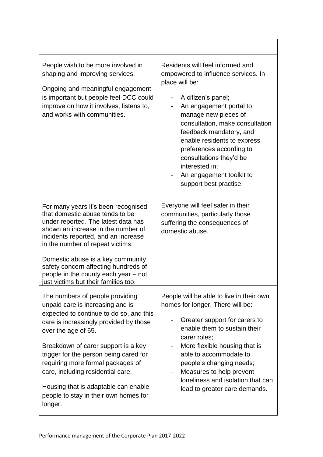| People wish to be more involved in<br>shaping and improving services.<br>Ongoing and meaningful engagement<br>is important but people feel DCC could<br>improve on how it involves, listens to,<br>and works with communities.                                                                                                                                                                                                         | Residents will feel informed and<br>empowered to influence services. In<br>place will be:<br>A citizen's panel;<br>An engagement portal to<br>manage new pieces of<br>consultation, make consultation<br>feedback mandatory, and<br>enable residents to express<br>preferences according to<br>consultations they'd be<br>interested in;<br>An engagement toolkit to<br>support best practise. |
|----------------------------------------------------------------------------------------------------------------------------------------------------------------------------------------------------------------------------------------------------------------------------------------------------------------------------------------------------------------------------------------------------------------------------------------|------------------------------------------------------------------------------------------------------------------------------------------------------------------------------------------------------------------------------------------------------------------------------------------------------------------------------------------------------------------------------------------------|
| For many years it's been recognised<br>that domestic abuse tends to be<br>under reported. The latest data has<br>shown an increase in the number of<br>incidents reported, and an increase<br>in the number of repeat victims.<br>Domestic abuse is a key community<br>safety concern affecting hundreds of<br>people in the county each year - not<br>just victims but their families too.                                            | Everyone will feel safer in their<br>communities, particularly those<br>suffering the consequences of<br>domestic abuse.                                                                                                                                                                                                                                                                       |
| The numbers of people providing<br>unpaid care is increasing and is<br>expected to continue to do so, and this<br>care is increasingly provided by those<br>over the age of 65.<br>Breakdown of carer support is a key<br>trigger for the person being cared for<br>requiring more formal packages of<br>care, including residential care.<br>Housing that is adaptable can enable<br>people to stay in their own homes for<br>longer. | People will be able to live in their own<br>homes for longer. There will be:<br>Greater support for carers to<br>enable them to sustain their<br>carer roles;<br>More flexible housing that is<br>able to accommodate to<br>people's changing needs;<br>Measures to help prevent<br>loneliness and isolation that can<br>lead to greater care demands.                                         |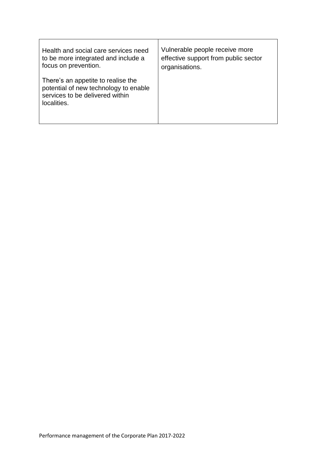| Health and social care services need                                                                                          | Vulnerable people receive more       |
|-------------------------------------------------------------------------------------------------------------------------------|--------------------------------------|
| to be more integrated and include a                                                                                           | effective support from public sector |
| focus on prevention.                                                                                                          | organisations.                       |
| There's an appetite to realise the<br>potential of new technology to enable<br>services to be delivered within<br>localities. |                                      |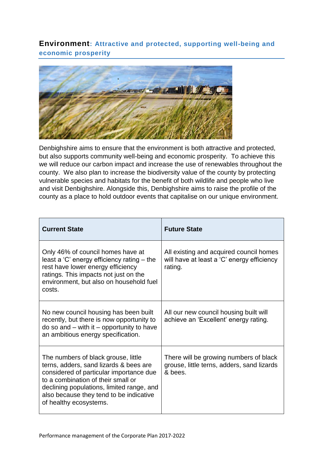<span id="page-14-0"></span>**Environment: Attractive and protected, supporting well-being and economic prosperity** 



Denbighshire aims to ensure that the environment is both attractive and protected, but also supports community well-being and economic prosperity. To achieve this we will reduce our carbon impact and increase the use of renewables throughout the county. We also plan to increase the biodiversity value of the county by protecting vulnerable species and habitats for the benefit of both wildlife and people who live and visit Denbighshire. Alongside this, Denbighshire aims to raise the profile of the county as a place to hold outdoor events that capitalise on our unique environment.

| <b>Current State</b>                                                                                                                                                                                                                                                             | <b>Future State</b>                                                                              |
|----------------------------------------------------------------------------------------------------------------------------------------------------------------------------------------------------------------------------------------------------------------------------------|--------------------------------------------------------------------------------------------------|
| Only 46% of council homes have at<br>least a 'C' energy efficiency rating – the<br>rest have lower energy efficiency<br>ratings. This impacts not just on the<br>environment, but also on household fuel<br>costs.                                                               | All existing and acquired council homes<br>will have at least a 'C' energy efficiency<br>rating. |
| No new council housing has been built<br>recently, but there is now opportunity to<br>$do$ so and $-$ with it $-$ opportunity to have<br>an ambitious energy specification.                                                                                                      | All our new council housing built will<br>achieve an 'Excellent' energy rating.                  |
| The numbers of black grouse, little<br>terns, adders, sand lizards & bees are<br>considered of particular importance due<br>to a combination of their small or<br>declining populations, limited range, and<br>also because they tend to be indicative<br>of healthy ecosystems. | There will be growing numbers of black<br>grouse, little terns, adders, sand lizards<br>& bees.  |

Performance management of the Corporate Plan 2017-2022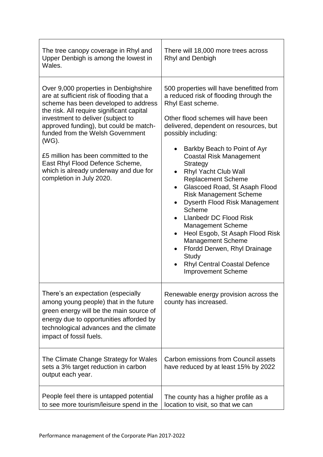| The tree canopy coverage in Rhyl and<br>Upper Denbigh is among the lowest in<br>Wales.                                                                                                                                                                                                                                                                                                                                                              | There will 18,000 more trees across<br>Rhyl and Denbigh                                                                                                                                                                                                                                                                                                                                                                                                                                                                                                                                                                                                                                                                                                                                     |  |
|-----------------------------------------------------------------------------------------------------------------------------------------------------------------------------------------------------------------------------------------------------------------------------------------------------------------------------------------------------------------------------------------------------------------------------------------------------|---------------------------------------------------------------------------------------------------------------------------------------------------------------------------------------------------------------------------------------------------------------------------------------------------------------------------------------------------------------------------------------------------------------------------------------------------------------------------------------------------------------------------------------------------------------------------------------------------------------------------------------------------------------------------------------------------------------------------------------------------------------------------------------------|--|
| Over 9,000 properties in Denbighshire<br>are at sufficient risk of flooding that a<br>scheme has been developed to address<br>the risk. All require significant capital<br>investment to deliver (subject to<br>approved funding), but could be match-<br>funded from the Welsh Government<br>(WG).<br>£5 million has been committed to the<br>East Rhyl Flood Defence Scheme,<br>which is already underway and due for<br>completion in July 2020. | 500 properties will have benefitted from<br>a reduced risk of flooding through the<br>Rhyl East scheme.<br>Other flood schemes will have been<br>delivered, dependent on resources, but<br>possibly including:<br>Barkby Beach to Point of Ayr<br>$\bullet$<br><b>Coastal Risk Management</b><br><b>Strategy</b><br><b>Rhyl Yacht Club Wall</b><br>$\bullet$<br><b>Replacement Scheme</b><br>Glascoed Road, St Asaph Flood<br>$\bullet$<br><b>Risk Management Scheme</b><br>Dyserth Flood Risk Management<br>Scheme<br><b>Llanbedr DC Flood Risk</b><br>$\bullet$<br><b>Management Scheme</b><br>Heol Esgob, St Asaph Flood Risk<br>$\bullet$<br><b>Management Scheme</b><br>Ffordd Derwen, Rhyl Drainage<br>٠<br>Study<br><b>Rhyl Central Coastal Defence</b><br><b>Improvement Scheme</b> |  |
| There's an expectation (especially<br>among young people) that in the future<br>green energy will be the main source of<br>energy due to opportunities afforded by<br>technological advances and the climate<br>impact of fossil fuels.                                                                                                                                                                                                             | Renewable energy provision across the<br>county has increased.                                                                                                                                                                                                                                                                                                                                                                                                                                                                                                                                                                                                                                                                                                                              |  |
| The Climate Change Strategy for Wales<br>sets a 3% target reduction in carbon<br>output each year.                                                                                                                                                                                                                                                                                                                                                  | Carbon emissions from Council assets<br>have reduced by at least 15% by 2022                                                                                                                                                                                                                                                                                                                                                                                                                                                                                                                                                                                                                                                                                                                |  |
| People feel there is untapped potential<br>to see more tourism/leisure spend in the                                                                                                                                                                                                                                                                                                                                                                 | The county has a higher profile as a<br>location to visit, so that we can                                                                                                                                                                                                                                                                                                                                                                                                                                                                                                                                                                                                                                                                                                                   |  |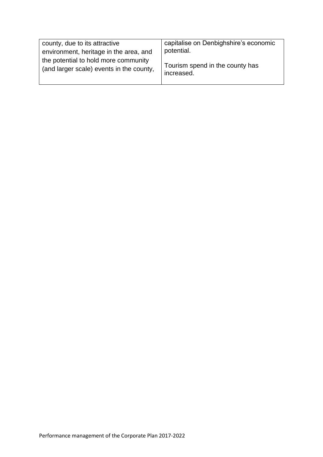| county, due to its attractive                                                    | capitalise on Denbighshire's economic         |
|----------------------------------------------------------------------------------|-----------------------------------------------|
| environment, heritage in the area, and                                           | potential.                                    |
| the potential to hold more community<br>(and larger scale) events in the county, | Tourism spend in the county has<br>increased. |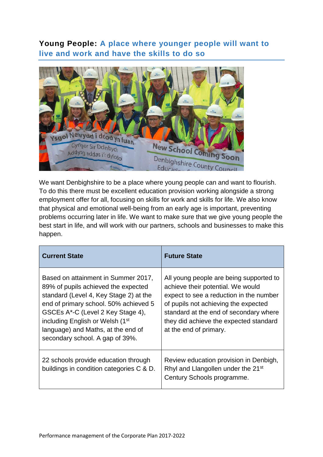## <span id="page-17-0"></span>**Young People: A place where younger people will want to live and work and have the skills to do so**



We want Denbighshire to be a place where young people can and want to flourish. To do this there must be excellent education provision working alongside a strong employment offer for all, focusing on skills for work and skills for life. We also know that physical and emotional well-being from an early age is important, preventing problems occurring later in life. We want to make sure that we give young people the best start in life, and will work with our partners, schools and businesses to make this happen.

| <b>Current State</b>                                                                                                                                                                                                                                                                                                       | <b>Future State</b>                                                                                                                                                                                                                                                           |
|----------------------------------------------------------------------------------------------------------------------------------------------------------------------------------------------------------------------------------------------------------------------------------------------------------------------------|-------------------------------------------------------------------------------------------------------------------------------------------------------------------------------------------------------------------------------------------------------------------------------|
| Based on attainment in Summer 2017,<br>89% of pupils achieved the expected<br>standard (Level 4, Key Stage 2) at the<br>end of primary school. 50% achieved 5<br>GSCEs A*-C (Level 2 Key Stage 4),<br>including English or Welsh (1 <sup>st</sup><br>language) and Maths, at the end of<br>secondary school. A gap of 39%. | All young people are being supported to<br>achieve their potential. We would<br>expect to see a reduction in the number<br>of pupils not achieving the expected<br>standard at the end of secondary where<br>they did achieve the expected standard<br>at the end of primary. |
| 22 schools provide education through<br>buildings in condition categories C & D.                                                                                                                                                                                                                                           | Review education provision in Denbigh,<br>Rhyl and Llangollen under the 21 <sup>st</sup><br>Century Schools programme.                                                                                                                                                        |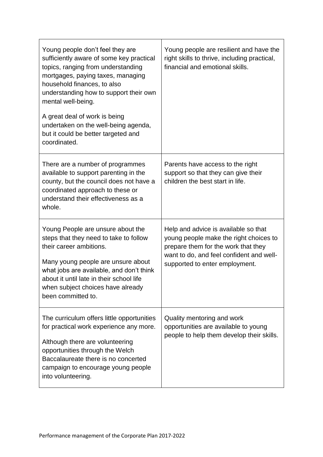| Young people don't feel they are<br>sufficiently aware of some key practical<br>topics, ranging from understanding<br>mortgages, paying taxes, managing<br>household finances, to also<br>understanding how to support their own<br>mental well-being.<br>A great deal of work is being<br>undertaken on the well-being agenda,<br>but it could be better targeted and<br>coordinated. | Young people are resilient and have the<br>right skills to thrive, including practical,<br>financial and emotional skills.                                                                          |
|----------------------------------------------------------------------------------------------------------------------------------------------------------------------------------------------------------------------------------------------------------------------------------------------------------------------------------------------------------------------------------------|-----------------------------------------------------------------------------------------------------------------------------------------------------------------------------------------------------|
| There are a number of programmes<br>available to support parenting in the<br>county, but the council does not have a<br>coordinated approach to these or<br>understand their effectiveness as a<br>whole.                                                                                                                                                                              | Parents have access to the right<br>support so that they can give their<br>children the best start in life.                                                                                         |
| Young People are unsure about the<br>steps that they need to take to follow<br>their career ambitions.<br>Many young people are unsure about<br>what jobs are available, and don't think<br>about it until late in their school life<br>when subject choices have already<br>been committed to.                                                                                        | Help and advice is available so that<br>young people make the right choices to<br>prepare them for the work that they<br>want to do, and feel confident and well-<br>supported to enter employment. |
| The curriculum offers little opportunities<br>for practical work experience any more.<br>Although there are volunteering<br>opportunities through the Welch<br>Baccalaureate there is no concerted<br>campaign to encourage young people<br>into volunteering.                                                                                                                         | Quality mentoring and work<br>opportunities are available to young<br>people to help them develop their skills.                                                                                     |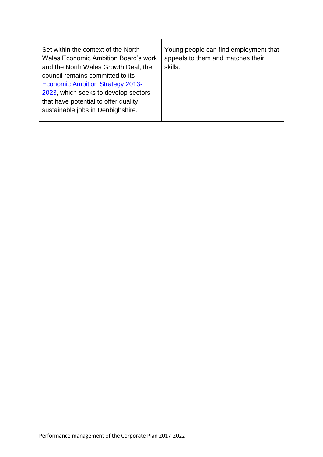| Set within the context of the North<br><b>Wales Economic Ambition Board's work</b><br>skills.<br>and the North Wales Growth Deal, the<br>council remains committed to its<br><b>Economic Ambition Strategy 2013-</b><br>2023, which seeks to develop sectors<br>that have potential to offer quality,<br>sustainable jobs in Denbighshire. | Young people can find employment that<br>appeals to them and matches their |
|--------------------------------------------------------------------------------------------------------------------------------------------------------------------------------------------------------------------------------------------------------------------------------------------------------------------------------------------|----------------------------------------------------------------------------|
|--------------------------------------------------------------------------------------------------------------------------------------------------------------------------------------------------------------------------------------------------------------------------------------------------------------------------------------------|----------------------------------------------------------------------------|

 $\top$ 

٦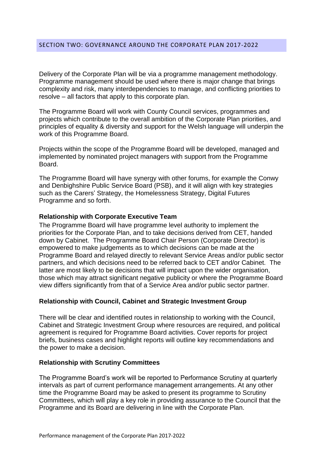<span id="page-20-0"></span>Delivery of the Corporate Plan will be via a programme management methodology. Programme management should be used where there is major change that brings complexity and risk, many interdependencies to manage, and conflicting priorities to resolve – all factors that apply to this corporate plan.

The Programme Board will work with County Council services, programmes and projects which contribute to the overall ambition of the Corporate Plan priorities, and principles of equality & diversity and support for the Welsh language will underpin the work of this Programme Board.

Projects within the scope of the Programme Board will be developed, managed and implemented by nominated project managers with support from the Programme Board.

The Programme Board will have synergy with other forums, for example the Conwy and Denbighshire Public Service Board (PSB), and it will align with key strategies such as the Carers' Strategy, the Homelessness Strategy, Digital Futures Programme and so forth.

#### **Relationship with Corporate Executive Team**

The Programme Board will have programme level authority to implement the priorities for the Corporate Plan, and to take decisions derived from CET, handed down by Cabinet. The Programme Board Chair Person (Corporate Director) is empowered to make judgements as to which decisions can be made at the Programme Board and relayed directly to relevant Service Areas and/or public sector partners, and which decisions need to be referred back to CET and/or Cabinet. The latter are most likely to be decisions that will impact upon the wider organisation, those which may attract significant negative publicity or where the Programme Board view differs significantly from that of a Service Area and/or public sector partner.

### **Relationship with Council, Cabinet and Strategic Investment Group**

There will be clear and identified routes in relationship to working with the Council, Cabinet and Strategic Investment Group where resources are required, and political agreement is required for Programme Board activities. Cover reports for project briefs, business cases and highlight reports will outline key recommendations and the power to make a decision.

#### **Relationship with Scrutiny Committees**

The Programme Board's work will be reported to Performance Scrutiny at quarterly intervals as part of current performance management arrangements. At any other time the Programme Board may be asked to present its programme to Scrutiny Committees, which will play a key role in providing assurance to the Council that the Programme and its Board are delivering in line with the Corporate Plan.